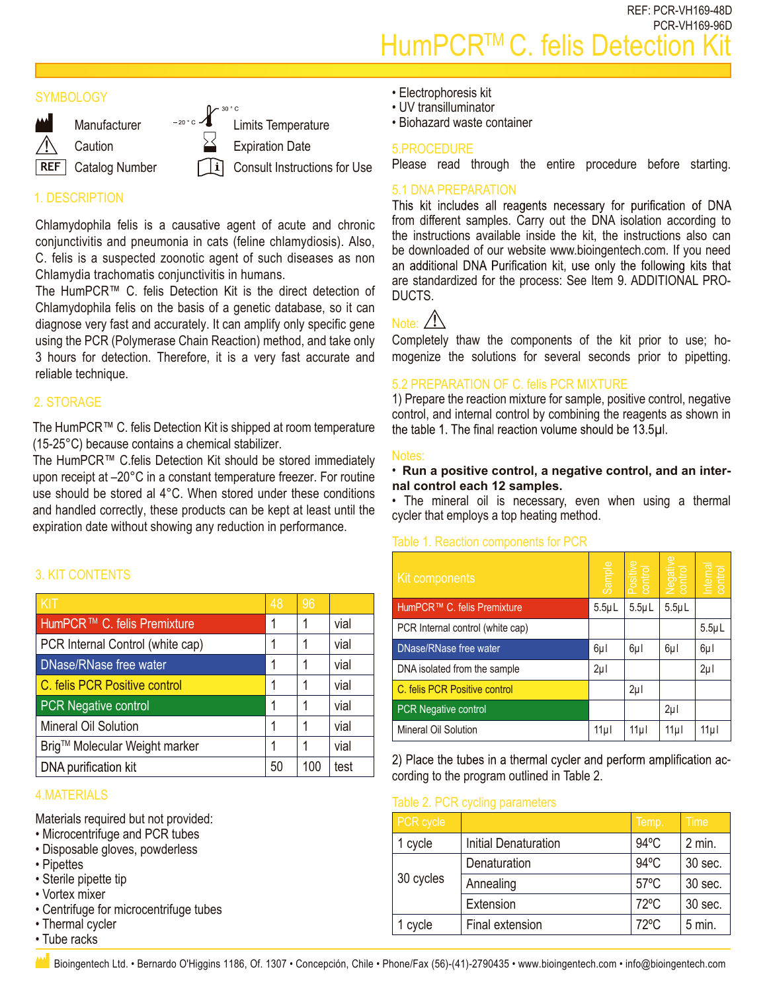REF: PCR-VH169-48D PCR-VH169-96D HumPCR<sup>™</sup>C. felis Detection

# **SYMBOLOGY**



# 1. DESCRIPTION

Chlamydophila felis is a causative agent of acute and chronic conjunctivitis and pneumonia in cats (feline chlamydiosis). Also, C. felis is a suspected zoonotic agent of such diseases as non Chlamydia trachomatis conjunctivitis in humans.

The HumPCR™ C. felis Detection Kit is the direct detection of Chlamydophila felis on the basis of a genetic database, so it can diagnose very fast and accurately. It can amplify only specific gene using the PCR (Polymerase Chain Reaction) method, and take only 3 hours for detection. Therefore, it is a very fast accurate and reliable technique.

# 2. STORAGE

The HumPCR™ C. felis Detection Kit is shipped at room temperature (15-25°C) because contains a chemical stabilizer.

The HumPCR™ C.felis Detection Kit should be stored immediately upon receipt at –20°C in a constant temperature freezer. For routine use should be stored al 4°C. When stored under these conditions and handled correctly, these products can be kept at least until the expiration date without showing any reduction in performance.

# 3. KIT CONTENTS

| KIT                                     | 48 | 96  |      |
|-----------------------------------------|----|-----|------|
| HumPCR <sup>™</sup> C. felis Premixture |    |     | vial |
| PCR Internal Control (white cap)        |    |     | vial |
| DNase/RNase free water                  |    |     | vial |
| C. felis PCR Positive control           |    |     | vial |
| <b>PCR Negative control</b>             |    |     | vial |
| Mineral Oil Solution                    |    |     | vial |
| Brig™ Molecular Weight marker           |    |     | vial |
| DNA purification kit                    | 50 | 100 | test |

### 4.MATERIALS

Materials required but not provided:

- Microcentrifuge and PCR tubes
- Disposable gloves, powderless
- Pipettes
- Sterile pipette tip
- Vortex mixer
- Centrifuge for microcentrifuge tubes
- Thermal cycler
- Tube racks
- Electrophoresis kit
- UV transilluminator
- Biohazard waste container

#### 5.PROCEDURE

Please read through the entire procedure before starting.

5.1 DNA PREPARATION<br>This kit includes all reagents necessary for purification of DNA from different samples. Carry out the DNA isolation according to the instructions available inside the kit, the instructions also can be downloaded of our website www.bioingentech.com. If you need an additional DNA Purification kit, use only the following kits that are standardized for the process: See Item 9. ADDITIONAL PRO-DUCTS.

# Note:  $/$

Completely thaw the components of the kit prior to use; homogenize the solutions for several seconds prior to pipetting.

### 5.2 PREPARATION OF C. felis PCR MIXTURE

1) Prepare the reaction mixture for sample, positive control, negative control, and internal control by combining the reagents as shown in the table 1. The final reaction volume should be 13.5µl.

#### Notes:

#### • **Run a positive control, a negative control, and an internal control each 12 samples.**

• The mineral oil is necessary, even when using a thermal cycler that employs a top heating method.

#### Table 1. Reaction components for PCR

|                                  | HumPCR™ C. felis Premixture | Sample                                                                                  | Positive<br>control                         | Negative<br>control | Internal                                                                                                                                                      |
|----------------------------------|-----------------------------|-----------------------------------------------------------------------------------------|---------------------------------------------|---------------------|---------------------------------------------------------------------------------------------------------------------------------------------------------------|
|                                  |                             | $5.5 \mu L$                                                                             | $5.5 \mu L$                                 | $5.5 \mu L$         |                                                                                                                                                               |
| PCR Internal control (white cap) |                             |                                                                                         |                                             |                     | $5.5 \mu L$                                                                                                                                                   |
| DNase/RNase free water           |                             | $6\mu$                                                                                  | $6\mu$                                      | $6\mu$              | $6\mu$                                                                                                                                                        |
|                                  |                             | $2\mu$                                                                                  |                                             |                     | $2\mu$                                                                                                                                                        |
| C. felis PCR Positive control    |                             |                                                                                         | $2\mu$                                      |                     |                                                                                                                                                               |
|                                  |                             |                                                                                         |                                             | $2\mu$              |                                                                                                                                                               |
| Mineral Oil Solution             |                             | $11\mu$                                                                                 |                                             | 11µ                 | 11µl                                                                                                                                                          |
|                                  |                             |                                                                                         |                                             |                     |                                                                                                                                                               |
|                                  |                             |                                                                                         |                                             |                     |                                                                                                                                                               |
|                                  |                             |                                                                                         |                                             |                     |                                                                                                                                                               |
| PCR cycle                        |                             |                                                                                         |                                             |                     | <b>Time</b>                                                                                                                                                   |
| 1 cycle                          | <b>Initial Denaturation</b> |                                                                                         |                                             |                     | 2 min.                                                                                                                                                        |
| 30 cycles                        | Denaturation                |                                                                                         |                                             |                     | 30 sec.                                                                                                                                                       |
|                                  | Annealing                   |                                                                                         |                                             |                     | 30 sec.                                                                                                                                                       |
|                                  | Extension                   |                                                                                         |                                             |                     | 30 sec.                                                                                                                                                       |
| 1 cycle                          | Final extension             |                                                                                         |                                             |                     | $5$ min.                                                                                                                                                      |
|                                  |                             | DNA isolated from the sample<br>PCR Negative control<br>Table 2. PCR cycling parameters | cording to the program outlined in Table 2. | 11µ                 | 2) Place the tubes in a thermal cycler and perform amplification ac-<br>Temp.<br>$94^{\circ}$ C<br>94°C<br>$57^{\circ}$ C<br>$72^{\circ}$ C<br>$72^{\circ}$ C |

#### Table 2. PCR cycling parameters

| PCR cycle |                             | Temp.          | Time     |
|-----------|-----------------------------|----------------|----------|
| 1 cycle   | <b>Initial Denaturation</b> | $94^{\circ}$ C | $2$ min. |
| 30 cycles | Denaturation                | $94^{\circ}$ C | 30 sec.  |
|           | Annealing                   | $57^{\circ}$ C | 30 sec.  |
|           | Extension                   | $72^{\circ}$ C | 30 sec.  |
| 1 cycle   | Final extension             | $72^{\circ}$ C | $5$ min. |